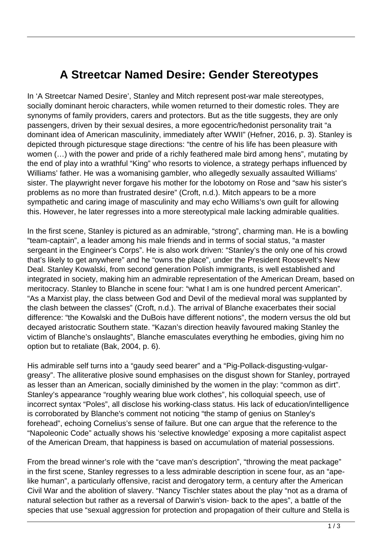## **A Streetcar Named Desire: Gender Stereotypes**

In 'A Streetcar Named Desire', Stanley and Mitch represent post-war male stereotypes, socially dominant heroic characters, while women returned to their domestic roles. They are synonyms of family providers, carers and protectors. But as the title suggests, they are only passengers, driven by their sexual desires, a more egocentric/hedonist personality trait "a dominant idea of American masculinity, immediately after WWII" (Hefner, 2016, p. 3). Stanley is depicted through picturesque stage directions: "the centre of his life has been pleasure with women (…) with the power and pride of a richly feathered male bird among hens", mutating by the end of play into a wrathful "King" who resorts to violence, a strategy perhaps influenced by Williams' father. He was a womanising gambler, who allegedly sexually assaulted Williams' sister. The playwright never forgave his mother for the lobotomy on Rose and "saw his sister's problems as no more than frustrated desire" (Croft, n.d.). Mitch appears to be a more sympathetic and caring image of masculinity and may echo Williams's own guilt for allowing this. However, he later regresses into a more stereotypical male lacking admirable qualities.

In the first scene, Stanley is pictured as an admirable, "strong", charming man. He is a bowling "team-captain", a leader among his male friends and in terms of social status, "a master sergeant in the Engineer's Corps". He is also work driven: "Stanley's the only one of his crowd that's likely to get anywhere" and he "owns the place", under the President Roosevelt's New Deal. Stanley Kowalski, from second generation Polish immigrants, is well established and integrated in society, making him an admirable representation of the American Dream, based on meritocracy. Stanley to Blanche in scene four: "what I am is one hundred percent American". "As a Marxist play, the class between God and Devil of the medieval moral was supplanted by the clash between the classes" (Croft, n.d.). The arrival of Blanche exacerbates their social difference: "the Kowalski and the DuBois have different notions", the modern versus the old but decayed aristocratic Southern state. "Kazan's direction heavily favoured making Stanley the victim of Blanche's onslaughts", Blanche emasculates everything he embodies, giving him no option but to retaliate (Bak, 2004, p. 6).

His admirable self turns into a "gaudy seed bearer" and a "Pig-Pollack-disgusting-vulgargreasy". The alliterative plosive sound emphasises on the disgust shown for Stanley, portrayed as lesser than an American, socially diminished by the women in the play: "common as dirt". Stanley's appearance "roughly wearing blue work clothes", his colloquial speech, use of incorrect syntax "Poles", all disclose his working-class status. His lack of education/intelligence is corroborated by Blanche's comment not noticing "the stamp of genius on Stanley's forehead", echoing Cornelius's sense of failure. But one can argue that the reference to the "Napoleonic Code" actually shows his 'selective knowledge' exposing a more capitalist aspect of the American Dream, that happiness is based on accumulation of material possessions.

From the bread winner's role with the "cave man's description", "throwing the meat package" in the first scene, Stanley regresses to a less admirable description in scene four, as an "apelike human", a particularly offensive, racist and derogatory term, a century after the American Civil War and the abolition of slavery. "Nancy Tischler states about the play "not as a drama of natural selection but rather as a reversal of Darwin's vision- back to the apes", a battle of the species that use "sexual aggression for protection and propagation of their culture and Stella is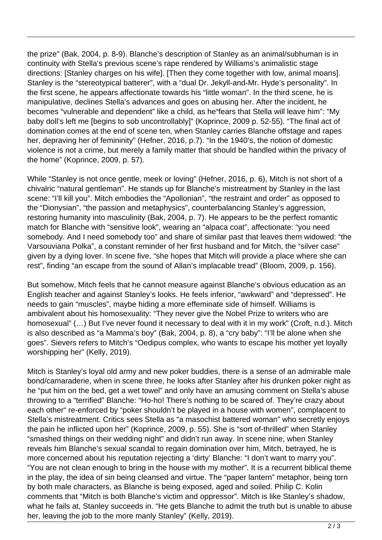the prize" (Bak, 2004, p. 8-9). Blanche's description of Stanley as an animal/subhuman is in continuity with Stella's previous scene's rape rendered by Williams's animalistic stage directions: [Stanley charges on his wife]. [Then they come together with low, animal moans]. Stanley is the "stereotypical batterer", with a "dual Dr. Jekyll-and-Mr. Hyde's personality". In the first scene, he appears affectionate towards his "little woman". In the third scene, he is manipulative, declines Stella's advances and goes on abusing her. After the incident, he becomes "vulnerable and dependent" like a child, as he"fears that Stella will leave him": "My baby doll's left me [begins to sob uncontrollably]" (Koprince, 2009 p. 52-55). "The final act of domination comes at the end of scene ten, when Stanley carries Blanche offstage and rapes her, depraving her of femininity" (Hefner, 2016, p.7). "In the 1940's, the notion of domestic violence is not a crime, but merely a family matter that should be handled within the privacy of the home" (Koprince, 2009, p. 57).

While "Stanley is not once gentle, meek or loving" (Hefner, 2016, p. 6), Mitch is not short of a chivalric "natural gentleman". He stands up for Blanche's mistreatment by Stanley in the last scene: "I'll kill you". Mitch embodies the "Apollonian", "the restraint and order" as opposed to the "Dionysian", "the passion and metaphysics", counterbalancing Stanley's aggression, restoring humanity into masculinity (Bak, 2004, p. 7). He appears to be the perfect romantic match for Blanche with "sensitive look", wearing an "alpaca coat", affectionate: "you need somebody. And I need somebody too" and share of similar past that leaves them widowed: "the Varsouviana Polka", a constant reminder of her first husband and for Mitch, the "silver case" given by a dying lover. In scene five, "she hopes that Mitch will provide a place where she can rest", finding "an escape from the sound of Allan's implacable tread" (Bloom, 2009, p. 156).

But somehow, Mitch feels that he cannot measure against Blanche's obvious education as an English teacher and against Stanley's looks. He feels inferior, "awkward" and "depressed". He needs to gain "muscles", maybe hiding a more effeminate side of himself. Williams is ambivalent about his homosexuality: "They never give the Nobel Prize to writers who are homosexual" (…) But I've never found it necessary to deal with it in my work" (Croft, n.d.). Mitch is also described as "a Mamma's boy" (Bak, 2004, p. 8), a "cry baby": "I'll be alone when she goes". Sievers refers to Mitch's "Oedipus complex, who wants to escape his mother yet loyally worshipping her" (Kelly, 2019).

Mitch is Stanley's loyal old army and new poker buddies, there is a sense of an admirable male bond/camaraderie, when in scene three, he looks after Stanley after his drunken poker night as he "put him on the bed, get a wet towel" and only have an amusing comment on Stella's abuse throwing to a "terrified" Blanche: "Ho-ho! There's nothing to be scared of. They're crazy about each other" re-enforced by "poker shouldn't be played in a house with women", complacent to Stella's mistreatment. Critics sees Stella as "a masochist battered woman" who secretly enjoys the pain he inflicted upon her" (Koprince, 2009, p. 55). She is "sort of-thrilled" when Stanley "smashed things on their wedding night" and didn't run away. In scene nine, when Stanley reveals him Blanche's sexual scandal to regain domination over him, Mitch, betrayed, he is more concerned about his reputation rejecting a 'dirty' Blanche: "I don't want to marry you". "You are not clean enough to bring in the house with my mother". It is a recurrent biblical theme in the play, the idea of sin being cleansed and virtue. The "paper lantern" metaphor, being torn by both male characters, as Blanche is being exposed, aged and soiled. Philip C. Kolin comments that "Mitch is both Blanche's victim and oppressor". Mitch is like Stanley's shadow, what he fails at, Stanley succeeds in. "He gets Blanche to admit the truth but is unable to abuse her, leaving the job to the more manly Stanley" (Kelly, 2019).